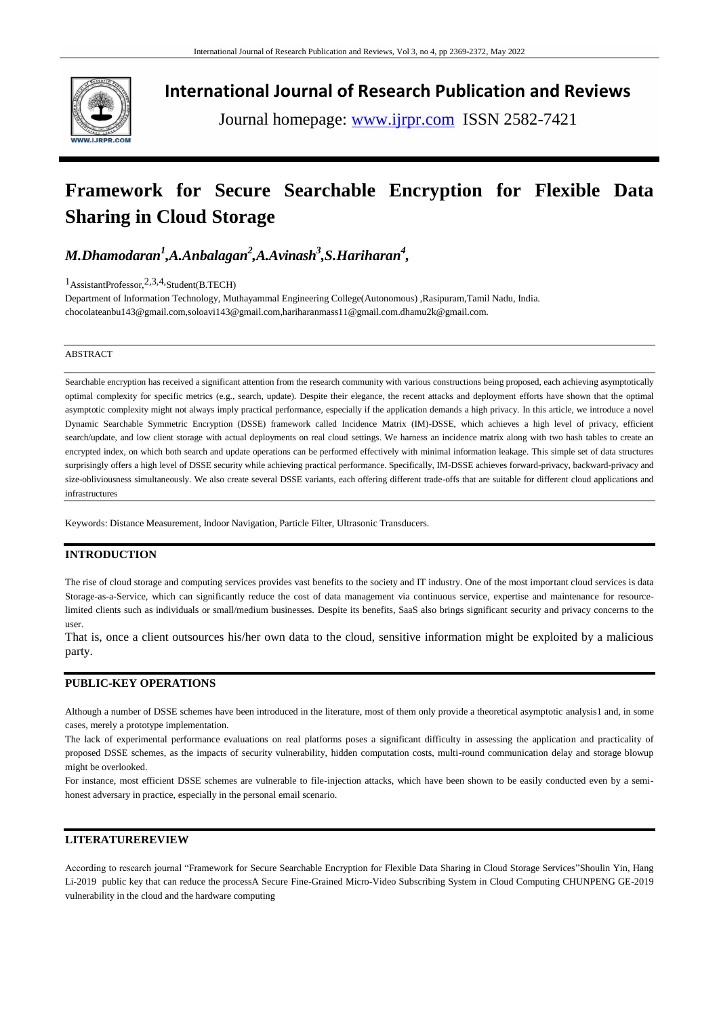

**International Journal of Research Publication and Reviews**

Journal homepage: www.ijrpr.com ISSN 2582-7421

# **Framework for Secure Searchable Encryption for Flexible Data Sharing in Cloud Storage**

*M.Dhamodaran<sup>1</sup> ,A.Anbalagan<sup>2</sup> ,A.Avinash<sup>3</sup> ,S.Hariharan<sup>4</sup> ,*

1AssistantProfessor,2,3,4,Student(B.TECH)

Department of Information Technology, Muthayammal Engineering College(Autonomous) ,Rasipuram,Tamil Nadu, India. chocolateanbu143@gmail.com,soloavi143@gmail.com,hariharanmass11@gmail.com.dhamu2k@gmail.com.

#### ABSTRACT

Searchable encryption has received a significant attention from the research community with various constructions being proposed, each achieving asymptotically optimal complexity for specific metrics (e.g., search, update). Despite their elegance, the recent attacks and deployment efforts have shown that the optimal asymptotic complexity might not always imply practical performance, especially if the application demands a high privacy. In this article, we introduce a novel Dynamic Searchable Symmetric Encryption (DSSE) framework called Incidence Matrix (IM)-DSSE, which achieves a high level of privacy, efficient search/update, and low client storage with actual deployments on real cloud settings. We harness an incidence matrix along with two hash tables to create an encrypted index, on which both search and update operations can be performed effectively with minimal information leakage. This simple set of data structures surprisingly offers a high level of DSSE security while achieving practical performance. Specifically, IM-DSSE achieves forward-privacy, backward-privacy and size-obliviousness simultaneously. We also create several DSSE variants, each offering different trade-offs that are suitable for different cloud applications and infrastructures

Keywords: Distance Measurement, Indoor Navigation, Particle Filter, Ultrasonic Transducers.

## **INTRODUCTION**

The rise of cloud storage and computing services provides vast benefits to the society and IT industry. One of the most important cloud services is data Storage-as-a-Service, which can significantly reduce the cost of data management via continuous service, expertise and maintenance for resourcelimited clients such as individuals or small/medium businesses. Despite its benefits, SaaS also brings significant security and privacy concerns to the user.

That is, once a client outsources his/her own data to the cloud, sensitive information might be exploited by a malicious party.

#### **PUBLIC-KEY OPERATIONS**

Although a number of DSSE schemes have been introduced in the literature, most of them only provide a theoretical asymptotic analysis1 and, in some cases, merely a prototype implementation.

The lack of experimental performance evaluations on real platforms poses a significant difficulty in assessing the application and practicality of proposed DSSE schemes, as the impacts of security vulnerability, hidden computation costs, multi-round communication delay and storage blowup might be overlooked.

For instance, most efficient DSSE schemes are vulnerable to file-injection attacks, which have been shown to be easily conducted even by a semihonest adversary in practice, especially in the personal email scenario.

#### **LITERATUREREVIEW**

According to research journal "Framework for Secure Searchable Encryption for Flexible Data Sharing in Cloud Storage Services"Shoulin Yin, Hang Li-2019 public key that can reduce the processA Secure Fine-Grained Micro-Video Subscribing System in Cloud Computing CHUNPENG GE-2019 vulnerability in the cloud and the hardware computing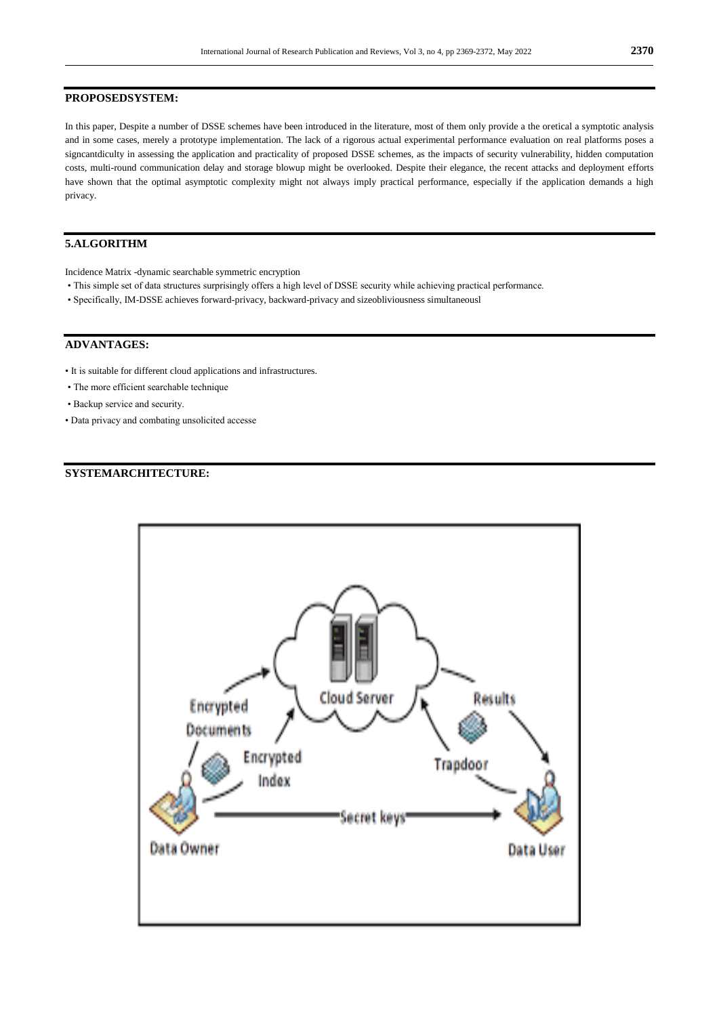#### **PROPOSEDSYSTEM:**

In this paper, Despite a number of DSSE schemes have been introduced in the literature, most of them only provide a the oretical a symptotic analysis and in some cases, merely a prototype implementation. The lack of a rigorous actual experimental performance evaluation on real platforms poses a signcantdiculty in assessing the application and practicality of proposed DSSE schemes, as the impacts of security vulnerability, hidden computation costs, multi-round communication delay and storage blowup might be overlooked. Despite their elegance, the recent attacks and deployment efforts have shown that the optimal asymptotic complexity might not always imply practical performance, especially if the application demands a high privacy.

## **5.ALGORITHM**

Incidence Matrix -dynamic searchable symmetric encryption

- This simple set of data structures surprisingly offers a high level of DSSE security while achieving practical performance.
- Specifically, IM-DSSE achieves forward-privacy, backward-privacy and sizeobliviousness simultaneousl

## **ADVANTAGES:**

- It is suitable for different cloud applications and infrastructures.
- The more efficient searchable technique
- Backup service and security.
- Data privacy and combating unsolicited accesse

#### **SYSTEMARCHITECTURE:**

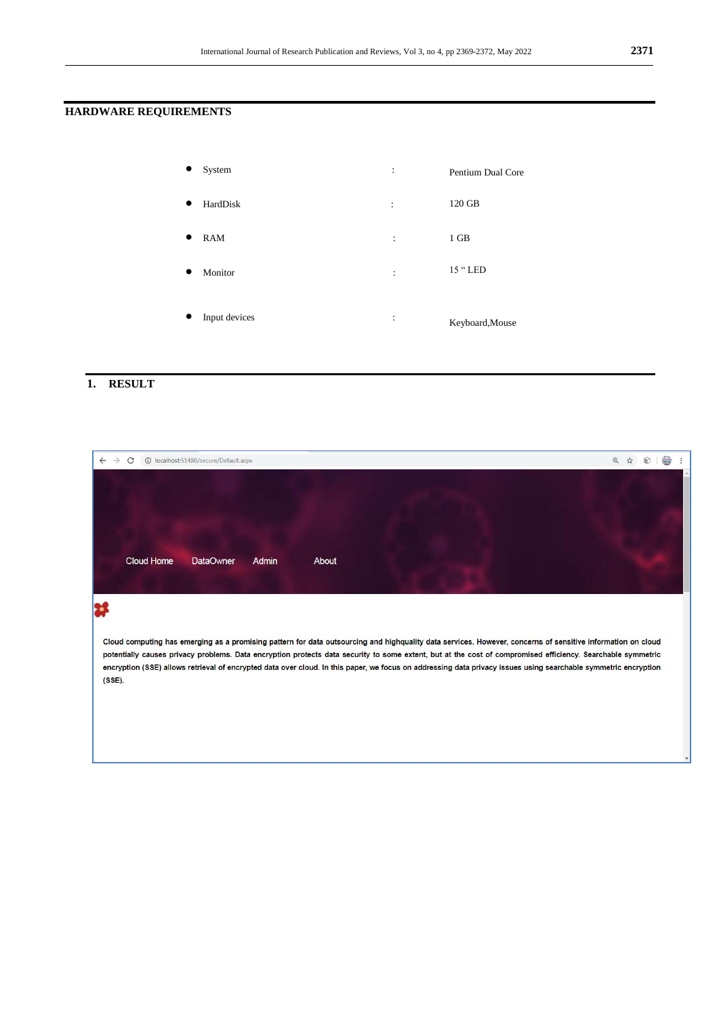## **HARDWARE REQUIREMENTS**

| System        | :              | Pentium Dual Core |
|---------------|----------------|-------------------|
| HardDisk      | $\ddot{\cdot}$ | 120 GB            |
| <b>RAM</b>    | :              | 1 GB              |
| Monitor       | :              | 15 " LED          |
| Input devices | :              | Keyboard, Mouse   |

## **1. RESULT**

| 10 localhost:51480/secure/Default.aspx                                                                                                                                                                                                                                                                                                                                                                                                                                                                     | $\odot$ |  |  |  |  |  |  |  |
|------------------------------------------------------------------------------------------------------------------------------------------------------------------------------------------------------------------------------------------------------------------------------------------------------------------------------------------------------------------------------------------------------------------------------------------------------------------------------------------------------------|---------|--|--|--|--|--|--|--|
|                                                                                                                                                                                                                                                                                                                                                                                                                                                                                                            |         |  |  |  |  |  |  |  |
|                                                                                                                                                                                                                                                                                                                                                                                                                                                                                                            |         |  |  |  |  |  |  |  |
| Cloud Home<br>About<br><b>DataOwner</b><br>Admin                                                                                                                                                                                                                                                                                                                                                                                                                                                           |         |  |  |  |  |  |  |  |
|                                                                                                                                                                                                                                                                                                                                                                                                                                                                                                            |         |  |  |  |  |  |  |  |
| Cloud computing has emerging as a promising pattern for data outsourcing and highquality data services. However, concerns of sensitive information on cloud<br>potentially causes privacy problems. Data encryption protects data security to some extent, but at the cost of compromised efficiency. Searchable symmetric<br>encryption (SSE) allows retrieval of encrypted data over cloud. In this paper, we focus on addressing data privacy issues using searchable symmetric encryption<br>$(SSE)$ . |         |  |  |  |  |  |  |  |
|                                                                                                                                                                                                                                                                                                                                                                                                                                                                                                            |         |  |  |  |  |  |  |  |
|                                                                                                                                                                                                                                                                                                                                                                                                                                                                                                            |         |  |  |  |  |  |  |  |